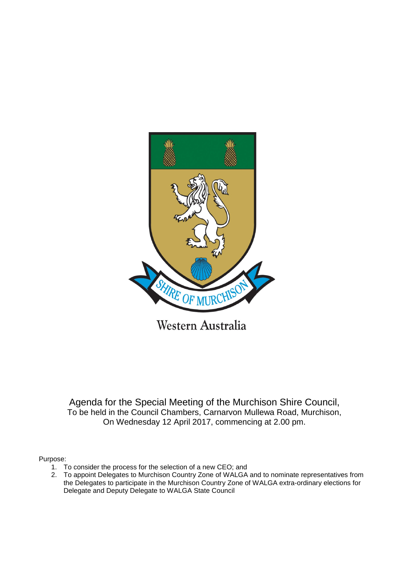

Western Australia

Agenda for the Special Meeting of the Murchison Shire Council, To be held in the Council Chambers, Carnarvon Mullewa Road, Murchison, On Wednesday 12 April 2017, commencing at 2.00 pm.

Purpose:

- 1. To consider the process for the selection of a new CEO; and
- 2. To appoint Delegates to Murchison Country Zone of WALGA and to nominate representatives from the Delegates to participate in the Murchison Country Zone of WALGA extra-ordinary elections for Delegate and Deputy Delegate to WALGA State Council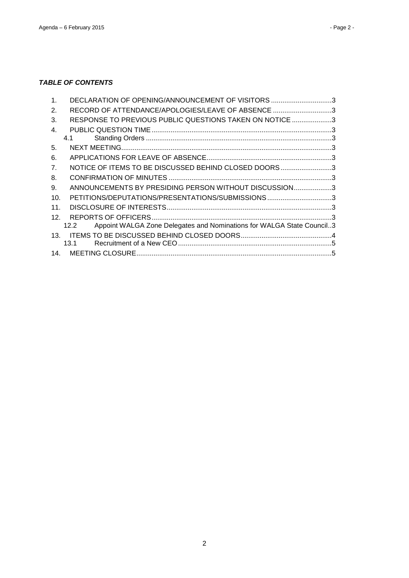## *TABLE OF CONTENTS*

| 4.1             |                                                                                                                                                                                                                                                                                                                                                                                                                 |
|-----------------|-----------------------------------------------------------------------------------------------------------------------------------------------------------------------------------------------------------------------------------------------------------------------------------------------------------------------------------------------------------------------------------------------------------------|
|                 |                                                                                                                                                                                                                                                                                                                                                                                                                 |
|                 |                                                                                                                                                                                                                                                                                                                                                                                                                 |
|                 |                                                                                                                                                                                                                                                                                                                                                                                                                 |
|                 |                                                                                                                                                                                                                                                                                                                                                                                                                 |
|                 |                                                                                                                                                                                                                                                                                                                                                                                                                 |
| 10.             |                                                                                                                                                                                                                                                                                                                                                                                                                 |
| 11.             |                                                                                                                                                                                                                                                                                                                                                                                                                 |
| 12.             |                                                                                                                                                                                                                                                                                                                                                                                                                 |
| 12.2            |                                                                                                                                                                                                                                                                                                                                                                                                                 |
| 13 <sub>1</sub> |                                                                                                                                                                                                                                                                                                                                                                                                                 |
| 13.1            |                                                                                                                                                                                                                                                                                                                                                                                                                 |
| 14.             |                                                                                                                                                                                                                                                                                                                                                                                                                 |
|                 | DECLARATION OF OPENING/ANNOUNCEMENT OF VISITORS 3<br>RECORD OF ATTENDANCE/APOLOGIES/LEAVE OF ABSENCE 3<br>RESPONSE TO PREVIOUS PUBLIC QUESTIONS TAKEN ON NOTICE 3<br>NOTICE OF ITEMS TO BE DISCUSSED BEHIND CLOSED DOORS3<br>ANNOUNCEMENTS BY PRESIDING PERSON WITHOUT DISCUSSION3<br>PETITIONS/DEPUTATIONS/PRESENTATIONS/SUBMISSIONS3<br>Appoint WALGA Zone Delegates and Nominations for WALGA State Council3 |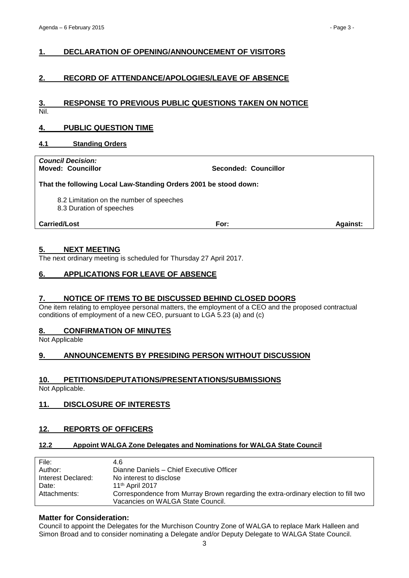## <span id="page-2-0"></span>**1. DECLARATION OF OPENING/ANNOUNCEMENT OF VISITORS**

## <span id="page-2-1"></span>**2. RECORD OF ATTENDANCE/APOLOGIES/LEAVE OF ABSENCE**

#### <span id="page-2-2"></span>**3. RESPONSE TO PREVIOUS PUBLIC QUESTIONS TAKEN ON NOTICE** Nil.

### <span id="page-2-3"></span>**4. PUBLIC QUESTION TIME**

#### <span id="page-2-4"></span>**4.1 Standing Orders**

*Council Decision:*

**Moved: Councillor Seconded: Councillor**

#### **That the following Local Law-Standing Orders 2001 be stood down:**

8.2 Limitation on the number of speeches

8.3 Duration of speeches

**Carried/Lost For: Against:**

#### <span id="page-2-5"></span>**5. NEXT MEETING**

The next ordinary meeting is scheduled for Thursday 27 April 2017.

### <span id="page-2-6"></span>**6. APPLICATIONS FOR LEAVE OF ABSENCE**

#### <span id="page-2-7"></span>**7. NOTICE OF ITEMS TO BE DISCUSSED BEHIND CLOSED DOORS**

One item relating to employee personal matters, the employment of a CEO and the proposed contractual conditions of employment of a new CEO, pursuant to LGA 5.23 (a) and (c)

#### <span id="page-2-8"></span>**8. CONFIRMATION OF MINUTES**

Not Applicable

## <span id="page-2-9"></span>**9. ANNOUNCEMENTS BY PRESIDING PERSON WITHOUT DISCUSSION**

#### <span id="page-2-10"></span>**10. PETITIONS/DEPUTATIONS/PRESENTATIONS/SUBMISSIONS**

Not Applicable.

## <span id="page-2-11"></span>**11. DISCLOSURE OF INTERESTS**

#### <span id="page-2-12"></span>**12. REPORTS OF OFFICERS**

#### <span id="page-2-13"></span>**12.2 Appoint WALGA Zone Delegates and Nominations for WALGA State Council**

| File:              | 4.6                                                                                |
|--------------------|------------------------------------------------------------------------------------|
| Author:            | Dianne Daniels - Chief Executive Officer                                           |
| Interest Declared: | No interest to disclose                                                            |
| Date:              | 11 <sup>th</sup> April 2017                                                        |
| Attachments:       | Correspondence from Murray Brown regarding the extra-ordinary election to fill two |
|                    | Vacancies on WALGA State Council.                                                  |

#### **Matter for Consideration:**

Council to appoint the Delegates for the Murchison Country Zone of WALGA to replace Mark Halleen and Simon Broad and to consider nominating a Delegate and/or Deputy Delegate to WALGA State Council.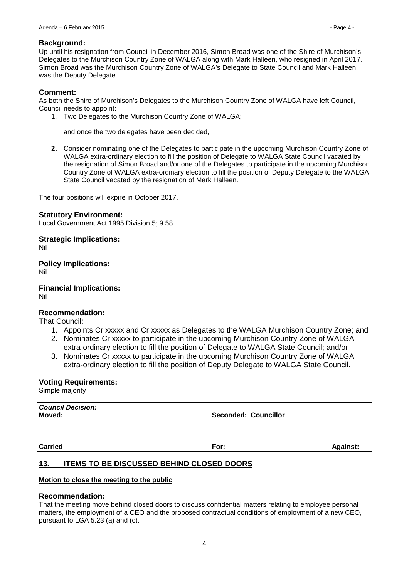#### **Background:**

Up until his resignation from Council in December 2016, Simon Broad was one of the Shire of Murchison's Delegates to the Murchison Country Zone of WALGA along with Mark Halleen, who resigned in April 2017. Simon Broad was the Murchison Country Zone of WALGA's Delegate to State Council and Mark Halleen was the Deputy Delegate.

## **Comment:**

As both the Shire of Murchison's Delegates to the Murchison Country Zone of WALGA have left Council, Council needs to appoint:

1. Two Delegates to the Murchison Country Zone of WALGA;

and once the two delegates have been decided,

**2.** Consider nominating one of the Delegates to participate in the upcoming Murchison Country Zone of WALGA extra-ordinary election to fill the position of Delegate to WALGA State Council vacated by the resignation of Simon Broad and/or one of the Delegates to participate in the upcoming Murchison Country Zone of WALGA extra-ordinary election to fill the position of Deputy Delegate to the WALGA State Council vacated by the resignation of Mark Halleen.

The four positions will expire in October 2017.

#### **Statutory Environment:**

Local Government Act 1995 Division 5; 9.58

#### **Strategic Implications:**

Nil

**Policy Implications:**

Nil

**Financial Implications:**

Nil

## **Recommendation:**

That Council:

- 1. Appoints Cr xxxxx and Cr xxxxx as Delegates to the WALGA Murchison Country Zone; and 2. Nominates Cr xxxxx to participate in the upcoming Murchison Country Zone of WALGA
- extra-ordinary election to fill the position of Delegate to WALGA State Council; and/or
- 3. Nominates Cr xxxxx to participate in the upcoming Murchison Country Zone of WALGA extra-ordinary election to fill the position of Deputy Delegate to WALGA State Council.

#### **Voting Requirements:**

Simple majority

| <b>Council Decision:</b><br>Moved: | <b>Seconded: Councillor</b> |                 |
|------------------------------------|-----------------------------|-----------------|
| <b>Carried</b>                     | For:                        | <b>Against:</b> |

## <span id="page-3-0"></span>**13. ITEMS TO BE DISCUSSED BEHIND CLOSED DOORS**

#### **Motion to close the meeting to the public**

#### **Recommendation:**

That the meeting move behind closed doors to discuss confidential matters relating to employee personal matters, the employment of a CEO and the proposed contractual conditions of employment of a new CEO, pursuant to LGA 5.23 (a) and (c).